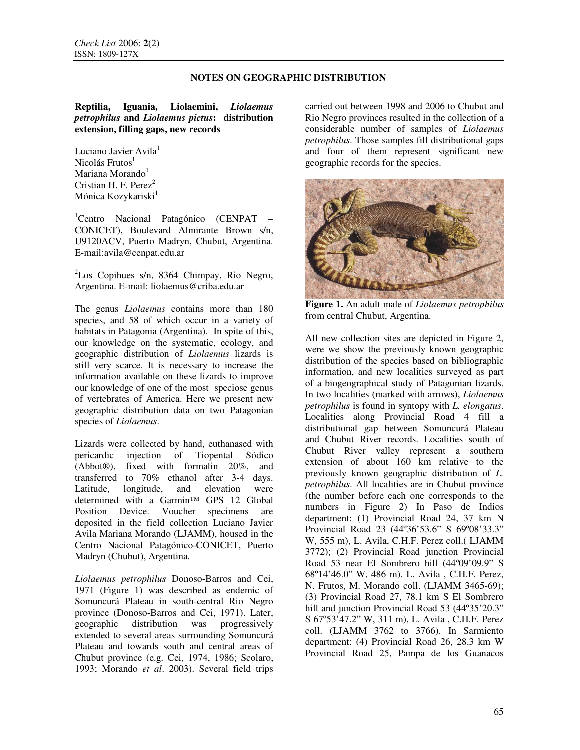### **Reptilia, Iguania, Liolaemini,** *Liolaemus petrophilus* **and** *Liolaemus pictus***: distribution extension, filling gaps, new records**

Luciano Javier Avila<sup>1</sup>  $Nicolás Frutos<sup>1</sup>$ Mariana Morando $1$ Cristian H. F. Perez<sup>2</sup> Mónica Kozykariski<sup>1</sup>

<sup>1</sup>Centro Nacional Patagónico (CENPAT CONICET), Boulevard Almirante Brown s/n, U9120ACV, Puerto Madryn, Chubut, Argentina. E-mail:avila@cenpat.edu.ar

<sup>2</sup>Los Copihues s/n, 8364 Chimpay, Rio Negro, Argentina. E-mail: liolaemus@criba.edu.ar

The genus *Liolaemus* contains more than 180 species, and 58 of which occur in a variety of habitats in Patagonia (Argentina). In spite of this, our knowledge on the systematic, ecology, and geographic distribution of *Liolaemus* lizards is still very scarce. It is necessary to increase the information available on these lizards to improve our knowledge of one of the most speciose genus of vertebrates of America. Here we present new geographic distribution data on two Patagonian species of *Liolaemus*.

Lizards were collected by hand, euthanased with<br>pericardic injection of Tiopental Sódico injection of Tiopental Sódico (Abbot®), fixed with formalin 20%, and transferred to 70% ethanol after 3-4 days. Latitude, longitude, and elevation were determined with a Garmin™ GPS 12 Global Position Device. Voucher specimens are deposited in the field collection Luciano Javier Avila Mariana Morando (LJAMM), housed in the Centro Nacional Patagónico-CONICET, Puerto Madryn (Chubut), Argentina.

*Liolaemus petrophilus* Donoso-Barros and Cei, 1971 (Figure 1) was described as endemic of Somuncurá Plateau in south-central Rio Negro province (Donoso-Barros and Cei, 1971). Later, geographic distribution was progressively extended to several areas surrounding Somuncurá Plateau and towards south and central areas of Chubut province (e.g. Cei, 1974, 1986; Scolaro, 1993; Morando *et al*. 2003). Several field trips carried out between 1998 and 2006 to Chubut and Rio Negro provinces resulted in the collection of a considerable number of samples of *Liolaemus petrophilus*. Those samples fill distributional gaps and four of them represent significant new geographic records for the species.



**Figure 1.** An adult male of *Liolaemus petrophilus* from central Chubut, Argentina.

All new collection sites are depicted in Figure 2, were we show the previously known geographic distribution of the species based on bibliographic information, and new localities surveyed as part of a biogeographical study of Patagonian lizards. In two localities (marked with arrows), *Liolaemus petrophilus* is found in syntopy with *L. elongatus*. Localities along Provincial Road 4 fill a distributional gap between Somuncurá Plateau and Chubut River records. Localities south of Chubut River valley represent a southern extension of about 160 km relative to the previously known geographic distribution of *L. petrophilus*. All localities are in Chubut province (the number before each one corresponds to the numbers in Figure 2) In Paso de Indios department: (1) Provincial Road 24, 37 km N Provincial Road 23 (44º36'53.6" S 69º08'33.3" W, 555 m), L. Avila, C.H.F. Perez coll.( LJAMM 3772); (2) Provincial Road junction Provincial Road 53 near El Sombrero hill (44º09'09.9" S 68º14'46.0" W, 486 m). L. Avila , C.H.F. Perez, N. Frutos, M. Morando coll. (LJAMM 3465-69); (3) Provincial Road 27, 78.1 km S El Sombrero hill and junction Provincial Road 53 (44°35'20.3" S 67º53'47.2" W, 311 m), L. Avila , C.H.F. Perez coll. (LJAMM 3762 to 3766). In Sarmiento department: (4) Provincial Road 26, 28.3 km W Provincial Road 25, Pampa de los Guanacos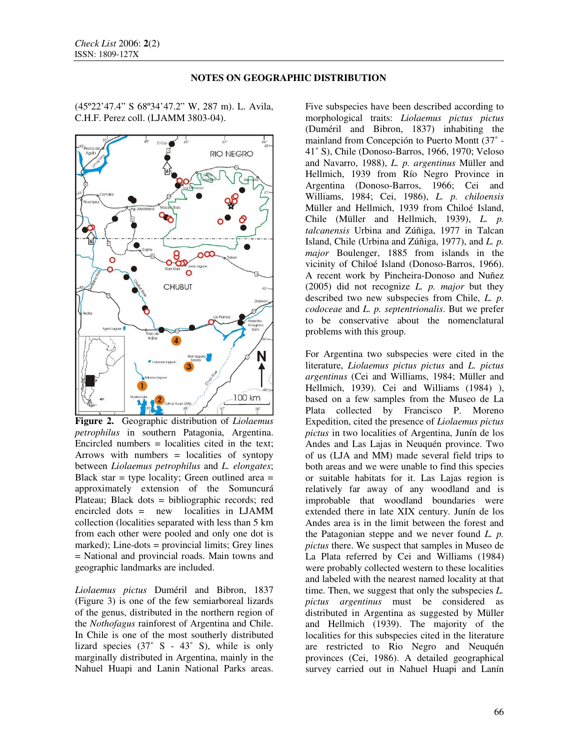(45º22'47.4" S 68º34'47.2" W, 287 m). L. Avila, C.H.F. Perez coll. (LJAMM 3803-04).



**Figure 2.** Geographic distribution of *Liolaemus petrophilus* in southern Patagonia, Argentina. Encircled numbers = localities cited in the text; Arrows with numbers = localities of syntopy between *Liolaemus petrophilus* and *L. elongates*; Black star  $=$  type locality; Green outlined area  $=$ approximately extension of the Somuncurá Plateau; Black dots = bibliographic records; red encircled dots = new localities in LJAMM collection (localities separated with less than 5 km from each other were pooled and only one dot is marked); Line-dots = provincial limits; Grey lines = National and provincial roads. Main towns and geographic landmarks are included.

*Liolaemus pictus* Duméril and Bibron, 1837 (Figure 3) is one of the few semiarboreal lizards of the genus, distributed in the northern region of the *Nothofagus* rainforest of Argentina and Chile. In Chile is one of the most southerly distributed lizard species  $(37° S - 43° S)$ , while is only marginally distributed in Argentina, mainly in the Nahuel Huapi and Lanin National Parks areas.

Five subspecies have been described according to morphological traits: *Liolaemus pictus pictus*  (Duméril and Bibron, 1837) inhabiting the mainland from Concepción to Puerto Montt (37˚ - 41˚ S), Chile (Donoso-Barros, 1966, 1970; Veloso and Navarro, 1988), *L. p. argentinus* Müller and Hellmich, 1939 from Río Negro Province in Argentina (Donoso-Barros, 1966; Cei and Williams, 1984; Cei, 1986), *L. p. chiloensis*  Müller and Hellmich, 1939 from Chiloé Island, Chile (Müller and Hellmich, 1939), *L. p. talcanensis* Urbina and Zúñiga, 1977 in Talcan Island, Chile (Urbina and Zúñiga, 1977), and *L. p. major* Boulenger, 1885 from islands in the vicinity of Chiloé Island (Donoso-Barros, 1966). A recent work by Pincheira-Donoso and Nuñez (2005) did not recognize *L. p. major* but they described two new subspecies from Chile, *L. p. codoceae* and *L. p. septentrionalis*. But we prefer to be conservative about the nomenclatural problems with this group.

For Argentina two subspecies were cited in the literature, *Liolaemus pictus pictus* and *L. pictus argentinus* (Cei and Williams, 1984; Müller and Hellmich, 1939). Cei and Williams (1984) ), based on a few samples from the Museo de La Plata collected by Francisco P. Moreno Expedition, cited the presence of *Liolaemus pictus pictus* in two localities of Argentina, Junín de los Andes and Las Lajas in Neuquén province. Two of us (LJA and MM) made several field trips to both areas and we were unable to find this species or suitable habitats for it. Las Lajas region is relatively far away of any woodland and is improbable that woodland boundaries were extended there in late XIX century. Junín de los Andes area is in the limit between the forest and the Patagonian steppe and we never found *L. p. pictus* there. We suspect that samples in Museo de La Plata referred by Cei and Williams (1984) were probably collected western to these localities and labeled with the nearest named locality at that time. Then, we suggest that only the subspecies *L. pictus argentinus* must be considered as distributed in Argentina as suggested by Müller and Hellmich (1939). The majority of the localities for this subspecies cited in the literature are restricted to Rio Negro and Neuquén provinces (Cei, 1986). A detailed geographical survey carried out in Nahuel Huapi and Lanín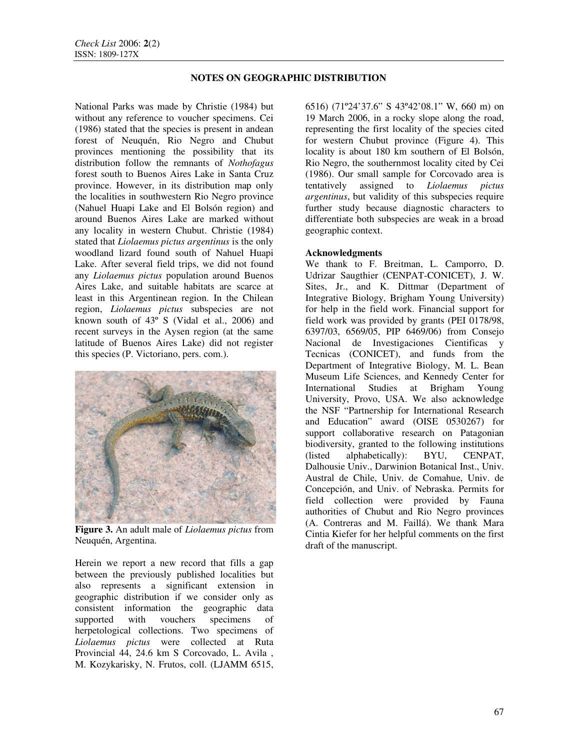National Parks was made by Christie (1984) but without any reference to voucher specimens. Cei (1986) stated that the species is present in andean forest of Neuquén, Rio Negro and Chubut provinces mentioning the possibility that its distribution follow the remnants of *Nothofagus* forest south to Buenos Aires Lake in Santa Cruz province. However, in its distribution map only the localities in southwestern Rio Negro province (Nahuel Huapi Lake and El Bolsón region) and around Buenos Aires Lake are marked without any locality in western Chubut. Christie (1984) stated that *Liolaemus pictus argentinus* is the only woodland lizard found south of Nahuel Huapi Lake. After several field trips, we did not found any *Liolaemus pictus* population around Buenos Aires Lake, and suitable habitats are scarce at least in this Argentinean region. In the Chilean region, *Liolaemus pictus* subspecies are not known south of 43º S (Vidal et al., 2006) and recent surveys in the Aysen region (at the same latitude of Buenos Aires Lake) did not register this species (P. Victoriano, pers. com.).



**Figure 3.** An adult male of *Liolaemus pictus* from Neuquén, Argentina.

Herein we report a new record that fills a gap between the previously published localities but also represents a significant extension in geographic distribution if we consider only as consistent information the geographic data supported with vouchers specimens of herpetological collections. Two specimens of *Liolaemus pictus* were collected at Ruta Provincial 44, 24.6 km S Corcovado, L. Avila , M. Kozykarisky, N. Frutos, coll. (LJAMM 6515, 6516) (71º24'37.6" S 43º42'08.1" W, 660 m) on 19 March 2006, in a rocky slope along the road, representing the first locality of the species cited for western Chubut province (Figure 4). This locality is about 180 km southern of El Bolsón, Rio Negro, the southernmost locality cited by Cei (1986). Our small sample for Corcovado area is tentatively assigned to *Liolaemus pictus argentinus*, but validity of this subspecies require further study because diagnostic characters to differentiate both subspecies are weak in a broad geographic context.

### **Acknowledgments**

We thank to F. Breitman, L. Camporro, D. Udrizar Saugthier (CENPAT-CONICET), J. W. Sites, Jr., and K. Dittmar (Department of Integrative Biology, Brigham Young University) for help in the field work. Financial support for field work was provided by grants (PEI 0178/98, 6397/03, 6569/05, PIP 6469/06) from Consejo Nacional de Investigaciones Cientificas y Tecnicas (CONICET), and funds from the Department of Integrative Biology, M. L. Bean Museum Life Sciences, and Kennedy Center for International Studies at Brigham Young University, Provo, USA. We also acknowledge the NSF "Partnership for International Research and Education" award (OISE 0530267) for support collaborative research on Patagonian biodiversity, granted to the following institutions (listed alphabetically): BYU, CENPAT, Dalhousie Univ., Darwinion Botanical Inst., Univ. Austral de Chile, Univ. de Comahue, Univ. de Concepción, and Univ. of Nebraska. Permits for field collection were provided by Fauna authorities of Chubut and Rio Negro provinces (A. Contreras and M. Faillá). We thank Mara Cintia Kiefer for her helpful comments on the first draft of the manuscript.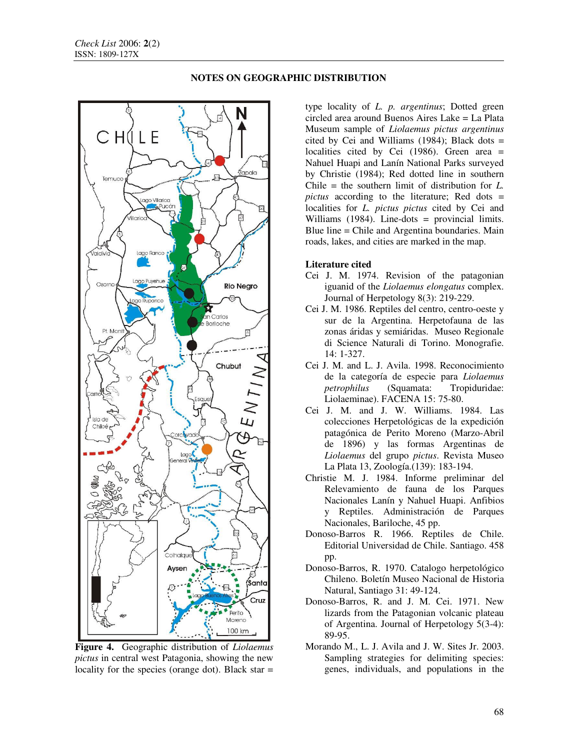

type locality of *L. p. argentinus*; Dotted green circled area around Buenos Aires Lake = La Plata Museum sample of *Liolaemus pictus argentinus* cited by Cei and Williams (1984); Black dots  $=$ localities cited by Cei (1986). Green area = Nahuel Huapi and Lanín National Parks surveyed by Christie (1984); Red dotted line in southern Chile = the southern limit of distribution for *L. pictus* according to the literature; Red dots = localities for *L. pictus pictus* cited by Cei and Williams (1984). Line-dots = provincial limits. Blue line = Chile and Argentina boundaries. Main roads, lakes, and cities are marked in the map.

#### **Literature cited**

- Cei J. M. 1974. Revision of the patagonian iguanid of the *Liolaemus elongatus* complex. Journal of Herpetology 8(3): 219-229.
- Cei J. M. 1986. Reptiles del centro, centro-oeste y sur de la Argentina. Herpetofauna de las zonas áridas y semiáridas. Museo Regionale di Science Naturali di Torino. Monografie. 14: 1-327.
- Cei J. M. and L. J. Avila. 1998. Reconocimiento de la categoría de especie para *Liolaemus petrophilus* (Squamata: Tropiduridae: Liolaeminae). FACENA 15: 75-80.
- Cei J. M. and J. W. Williams. 1984. Las colecciones Herpetológicas de la expedición patagónica de Perito Moreno (Marzo-Abril de 1896) y las formas Argentinas de *Liolaemus* del grupo *pictus*. Revista Museo La Plata 13, Zoología.(139): 183-194.
- Christie M. J. 1984. Informe preliminar del Relevamiento de fauna de los Parques Nacionales Lanín y Nahuel Huapi. Anfibios y Reptiles. Administración de Parques Nacionales, Bariloche, 45 pp.
- Donoso-Barros R. 1966. Reptiles de Chile. Editorial Universidad de Chile. Santiago. 458 pp.
- Donoso-Barros, R. 1970. Catalogo herpetológico Chileno. Boletín Museo Nacional de Historia Natural, Santiago 31: 49-124.
- Donoso-Barros, R. and J. M. Cei. 1971. New lizards from the Patagonian volcanic plateau of Argentina. Journal of Herpetology 5(3-4): 89-95.
- Morando M., L. J. Avila and J. W. Sites Jr. 2003. Sampling strategies for delimiting species: genes, individuals, and populations in the

**Figure 4.** Geographic distribution of *Liolaemus pictus* in central west Patagonia, showing the new locality for the species (orange dot). Black star  $=$